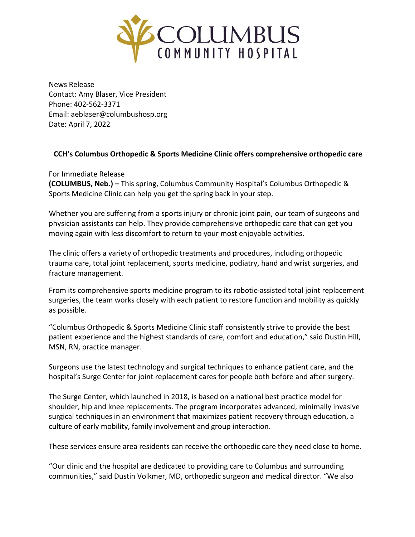

News Release Contact: Amy Blaser, Vice President Phone: 402-562-3371 Email: [aeblaser@columbushosp.org](mailto:aeblaser@columbushosp.org) Date: April 7, 2022

## **CCH's Columbus Orthopedic & Sports Medicine Clinic offers comprehensive orthopedic care**

For Immediate Release **(COLUMBUS, Neb.) –** This spring, Columbus Community Hospital's Columbus Orthopedic & Sports Medicine Clinic can help you get the spring back in your step.

Whether you are suffering from a sports injury or chronic joint pain, our team of surgeons and physician assistants can help. They provide comprehensive orthopedic care that can get you moving again with less discomfort to return to your most enjoyable activities.

The clinic offers a variety of orthopedic treatments and procedures, including orthopedic trauma care, total joint replacement, sports medicine, podiatry, hand and wrist surgeries, and fracture management.

From its comprehensive sports medicine program to its robotic-assisted total joint replacement surgeries, the team works closely with each patient to restore function and mobility as quickly as possible.

"Columbus Orthopedic & Sports Medicine Clinic staff consistently strive to provide the best patient experience and the highest standards of care, comfort and education," said Dustin Hill, MSN, RN, practice manager.

Surgeons use the latest technology and surgical techniques to enhance patient care, and the hospital's Surge Center for joint replacement cares for people both before and after surgery.

The Surge Center, which launched in 2018, is based on a national best practice model for shoulder, hip and knee replacements. The program incorporates advanced, minimally invasive surgical techniques in an environment that maximizes patient recovery through education, a culture of early mobility, family involvement and group interaction.

These services ensure area residents can receive the orthopedic care they need close to home.

"Our clinic and the hospital are dedicated to providing care to Columbus and surrounding communities," said Dustin Volkmer, MD, orthopedic surgeon and medical director. "We also